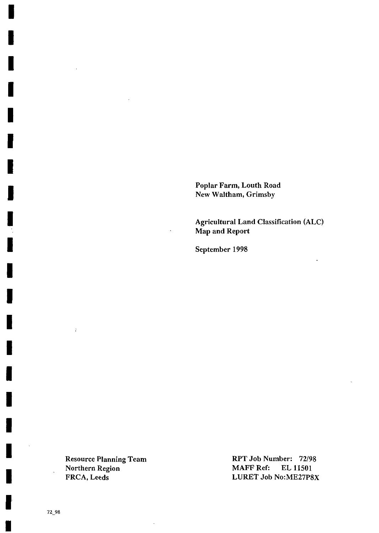Poplar Farm, Louth Road New Waltham, Grimsby

Agricultural Land Classification (ALC) Map and Report

September 1998

Northern Region MAFF Ref: EL 11501<br>FRCA, Leeds LURET Job No:ME27P8

 $\ddot{\cdot}$ 

Resource Planning Team RPT Job Number: 72/98 LURET Job No:ME27P8X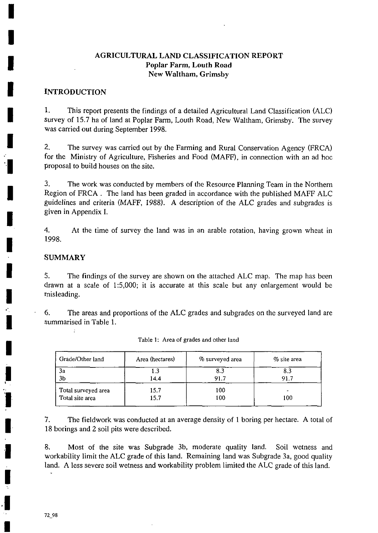# AGRICULTURAL LAND CLASSIFICATION REPORT Poplar Farm, Louth Road New Waltham, Grimsby

### INTRODUCTION

1. This report presents the findings of a detailed Agricultural Land Classification (ALC) Survey of 15.7 ha of land at Poplar Farm, Louth Road, New Waltham, Grimsby. The survey was carried out during September 1998.

2. The survey was carried out by the Farming and Rural Conservation Agency (FRCA) for the Ministry of Agriculture, Fisheries and Food (MAFF), in connection with an ad hoc proposal to build houses on the site.

3. The work was conducted by members of the Resource Planning Team in the Northern Region of FRCA . The land has been graded in accordance with the published MAFF ALC guidelines and criteria (MAFF, 1988). A description of the ALC grades and subgrades is given in Appendix I.

4. 1998. At the time of survey the land was in an arable rotation, having grown wheat in

## SUMMARY

5. The findings of the survey are shown on the attached ALC map. The map has been drawn at a scale of 1:5,000; it is accurate at this scale but any enlargement would be misleading.

6. The areas and proportions of the ALC grades and subgrades on the surveyed land are summarised in Table 1.

| Grade/Other land    | Area (hectares) | % surveyed area | $\%$ site area |  |
|---------------------|-----------------|-----------------|----------------|--|
| 3a                  | 1.3             | 8.3             | 8.3            |  |
| 3 <sub>b</sub>      | 14.4            | 91.7            | 91.7           |  |
| Total surveyed area | 15.7            | 100             | 100            |  |
| Total site area     | 15.7            | 100             |                |  |

| Table 1: Area of grades and other land |  |  |  |  |  |
|----------------------------------------|--|--|--|--|--|
|----------------------------------------|--|--|--|--|--|

7. The fieldwork was conducted at an average density of 1 boring per hectare. A total of 18 borings and 2 soil pits were described.

8. Most of the site was Subgrade 3b, moderate quality land. Soil wetness and workability limit the ALC grade of this land. Remaining land was Subgrade 3a, good quality land. A less severe soil wetness and workability problem limited the ALC grade of this land.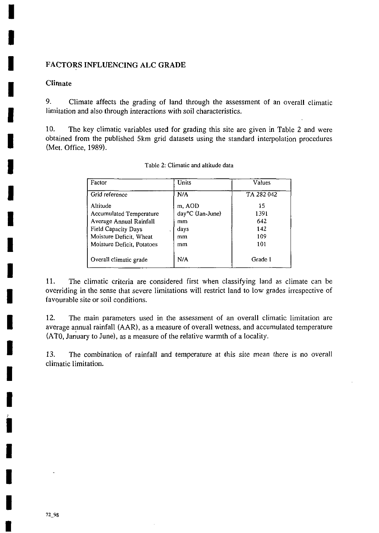## FACTORS INFLUENCING ALC GRADE

# Climate

9. Climate affects the grading of land through the assessment of an overall climatic limitation and also through interactions with soil characteristics.

10. The key climatic variables used for grading this site are given in Table 2 and were obtained from the published 5km grid datasets using the standard interpolation procedures (Met. Office, 1989).

| Factor                     | <b>Units</b>     | Values     |
|----------------------------|------------------|------------|
| Grid reference             | N/A              | TA 282 042 |
| Altitude                   | m, AOD           | 15         |
| Accumulated Temperature    | day°C (Jan-June) | 1391       |
| Average Annual Rainfall    | mm               | 642        |
| <b>Field Capacity Days</b> | days             | 142        |
| Moisture Deficit, Wheat    | mm               | 109        |
| Moisture Deficit, Potatoes | mm               | 101        |
| Overall climatic grade     | N/A              | Grade 1    |

11. The climatic criteria are considered first when classifying land as climate can be overriding in the sense that severe limitations will restrict land to low grades irrespective of favourable site or soil conditions.

12. The main parameters used in the assessment of an overall climatic limitation are average annual rainfall (AAR), as a measure of overall wetness, and accumulated temperature (ATO, January to June), as a measure of the relative warmth of a locality.

13. The combination of rainfall and temperature at this site mean there is no overall climatic limitation.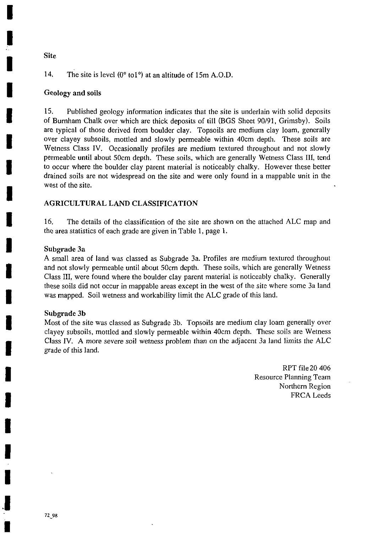# 14. The site is level (0° tol°) at an altitude of 15m A.O.D.

## Geology and soils

Site

15. Published geology information indicates that the site is underlain with solid deposits of Bumham Chalk over which are thick deposits of till (BGS Sheet 90/91, Grimsby). Soils are typical of those derived from boulder clay. Topsoils are medium clay loam, generally over clayey subsoils, mottled and slowly permeable within 40cm depth. These soils are Wetness Class IV. Occasionally profiles are medium textured throughout and not slowly permeable until about 50cm depth. These soils, which are generally Wetness Class III, tend to occur where the boulder clay parent material is noticeably chalky. However these better drained soils are not widespread on the site and were only found in a mappable unit in the west of the site.

# AGRICULTURAL LAND CLASSIFICATION

16. The details of the classification of the site are shown on the attached ALC map and the area statistics of each grade are given in Table 1, page 1.

#### Subgrade 3a

A small area of land was classed as Subgrade 3a. Profiles are medium textured throughout and not slowly permeable until about 50cm depth. These soils, which are generally Wetness Class III, were found where the boulder clay parent material is noticeably chalky. Generally these soils did not occur in mappable areas except in the west of the site where some 3a land was mapped. Soil wetness and workability limit the ALC grade of this land.

#### Subgrade 3b

Most of the site was classed as Subgrade 3b. Topsoils are medium clay loam generally over clayey subsoils, mottled and slowly permeable within 40cm depth. These soils are Wetness Class IV. A more severe soil wetness problem than on the adjacent 3a land limits the ALC grade of this land.

> RPT file 20 406 Resource Planning Team Northern Region FRCA Leeds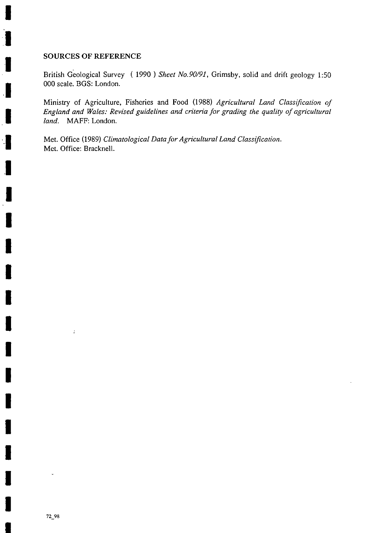#### SOURCES OF REFERENCE

British Geological Survey (1990) Sheet No.90/91, Grimsby, solid and drift geology 1:50 000 scale. BGS: London.

Ministry of Agriculture, Fisheries and Food (1988) Agricultural Land Classification of England and Wales: Revised guidelines and criteria for grading the quality of agricultural land. MAFF: London.

Met. Office (1989) Climatological Data for Agricultural Land Classification. Met. Office; Bracknell.

 $\ddot{\phantom{a}}$